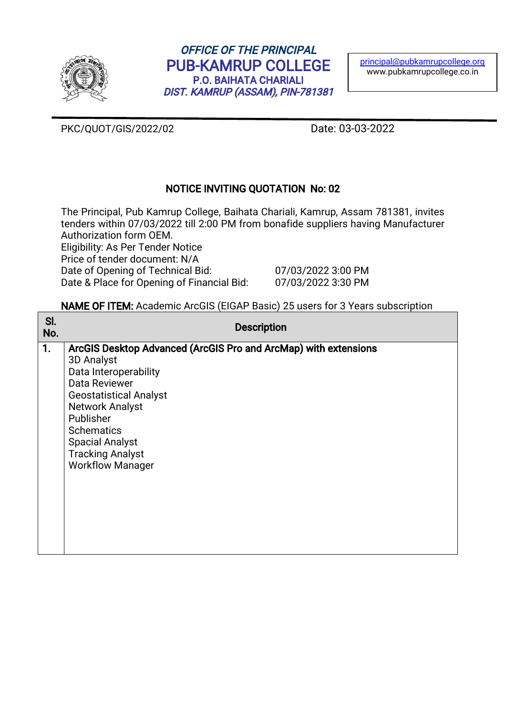

# OFFICE OF THE PRINCIPAL PUB-KAMRUP COLLEGE P.O. BAIHATA CHARIALI DIST. KAMRUP (ASSAM), PIN-781381

principal@pubkamrupcollege.org www.pubkamrupcollege.co.in

PKC/QUOT/GIS/2022/02 Date:03-03-2022

# NOTICE INVITING QUOTATION No: 02

The Principal, Pub Kamrup College, Baihata Chariali, Kamrup, Assam 781381, invites tenders within 07/03/2022 till 2:00 PM from bonafide suppliers having Manufacturer Authorization form OEM. Eligibility: As Per Tender Notice Price of tender document: N/A Date of Opening of Technical Bid: 07/03/2022 3:00 PM Date & Place for Opening of Financial Bid: 07/03/2022 3:30 PM

### NAME OF ITEM: Academic ArcGIS (EIGAP Basic) 25 users for 3 Years subscription

| SI.<br>No. | <b>Description</b>                                                                                                                                                                                                                                                                                   |
|------------|------------------------------------------------------------------------------------------------------------------------------------------------------------------------------------------------------------------------------------------------------------------------------------------------------|
| 1.         | ArcGIS Desktop Advanced (ArcGIS Pro and ArcMap) with extensions<br>3D Analyst<br>Data Interoperability<br>Data Reviewer<br><b>Geostatistical Analyst</b><br><b>Network Analyst</b><br>Publisher<br><b>Schematics</b><br><b>Spacial Analyst</b><br><b>Tracking Analyst</b><br><b>Workflow Manager</b> |
|            |                                                                                                                                                                                                                                                                                                      |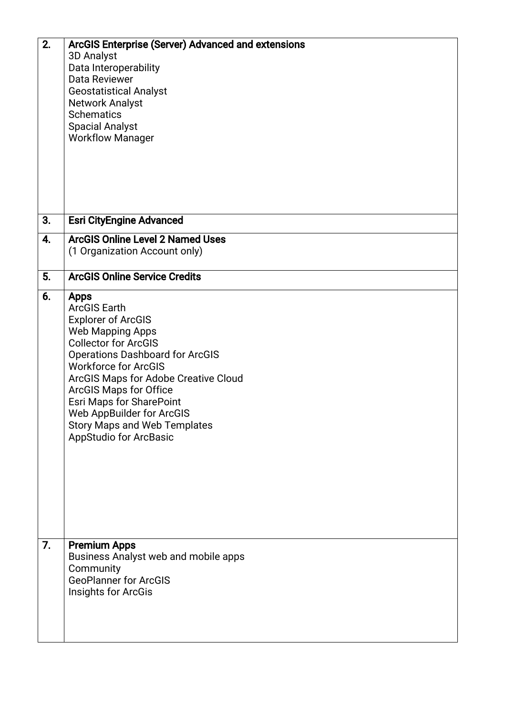| 2. | ArcGIS Enterprise (Server) Advanced and extensions<br>3D Analyst<br>Data Interoperability<br>Data Reviewer<br><b>Geostatistical Analyst</b><br><b>Network Analyst</b><br><b>Schematics</b><br><b>Spacial Analyst</b><br><b>Workflow Manager</b>                                                                                                                                                                            |
|----|----------------------------------------------------------------------------------------------------------------------------------------------------------------------------------------------------------------------------------------------------------------------------------------------------------------------------------------------------------------------------------------------------------------------------|
| 3. | <b>Esri CityEngine Advanced</b>                                                                                                                                                                                                                                                                                                                                                                                            |
| 4. | <b>ArcGIS Online Level 2 Named Uses</b><br>(1 Organization Account only)                                                                                                                                                                                                                                                                                                                                                   |
| 5. | <b>ArcGIS Online Service Credits</b>                                                                                                                                                                                                                                                                                                                                                                                       |
| 6. | <b>Apps</b><br><b>ArcGIS Earth</b><br><b>Explorer of ArcGIS</b><br><b>Web Mapping Apps</b><br><b>Collector for ArcGIS</b><br><b>Operations Dashboard for ArcGIS</b><br><b>Workforce for ArcGIS</b><br>ArcGIS Maps for Adobe Creative Cloud<br><b>ArcGIS Maps for Office</b><br><b>Esri Maps for SharePoint</b><br><b>Web AppBuilder for ArcGIS</b><br><b>Story Maps and Web Templates</b><br><b>AppStudio for ArcBasic</b> |
| 7. | <b>Premium Apps</b><br>Business Analyst web and mobile apps<br>Community<br><b>GeoPlanner for ArcGIS</b><br>Insights for ArcGis                                                                                                                                                                                                                                                                                            |